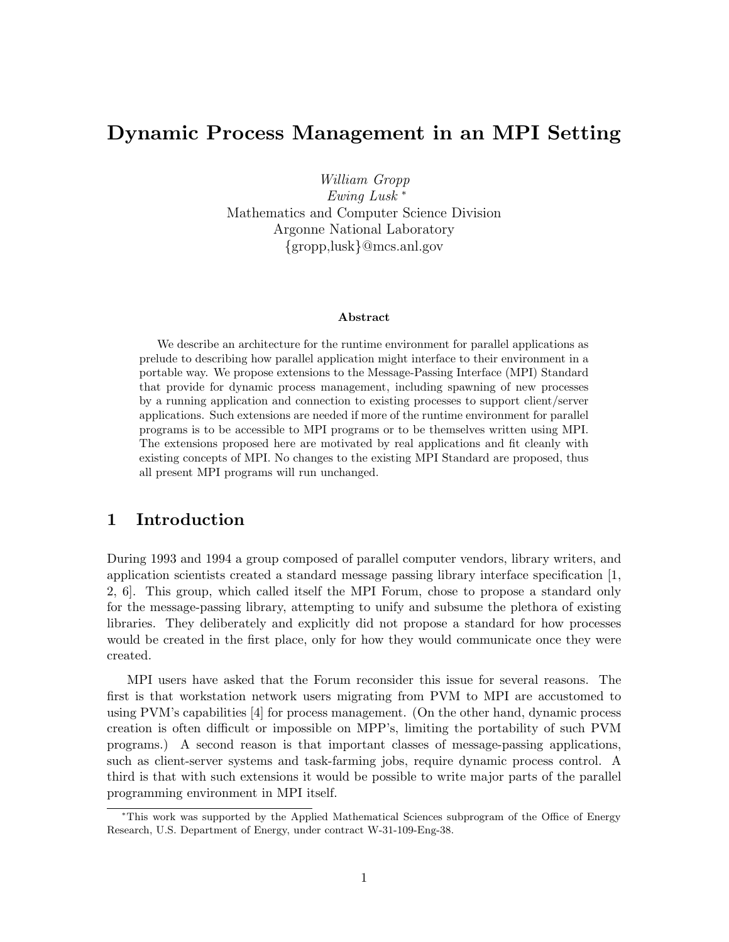# Dynamic Process Management in an MPI Setting

William Gropp

Ewing Lusk <sup>∗</sup> Mathematics and Computer Science Division Argonne National Laboratory {gropp,lusk}@mcs.anl.gov

#### Abstract

We describe an architecture for the runtime environment for parallel applications as prelude to describing how parallel application might interface to their environment in a portable way. We propose extensions to the Message-Passing Interface (MPI) Standard that provide for dynamic process management, including spawning of new processes by a running application and connection to existing processes to support client/server applications. Such extensions are needed if more of the runtime environment for parallel programs is to be accessible to MPI programs or to be themselves written using MPI. The extensions proposed here are motivated by real applications and fit cleanly with existing concepts of MPI. No changes to the existing MPI Standard are proposed, thus all present MPI programs will run unchanged.

### 1 Introduction

During 1993 and 1994 a group composed of parallel computer vendors, library writers, and application scientists created a standard message passing library interface specification [1, 2, 6]. This group, which called itself the MPI Forum, chose to propose a standard only for the message-passing library, attempting to unify and subsume the plethora of existing libraries. They deliberately and explicitly did not propose a standard for how processes would be created in the first place, only for how they would communicate once they were created.

MPI users have asked that the Forum reconsider this issue for several reasons. The first is that workstation network users migrating from PVM to MPI are accustomed to using PVM's capabilities [4] for process management. (On the other hand, dynamic process creation is often difficult or impossible on MPP's, limiting the portability of such PVM programs.) A second reason is that important classes of message-passing applications, such as client-server systems and task-farming jobs, require dynamic process control. A third is that with such extensions it would be possible to write major parts of the parallel programming environment in MPI itself.

<sup>∗</sup>This work was supported by the Applied Mathematical Sciences subprogram of the Office of Energy Research, U.S. Department of Energy, under contract W-31-109-Eng-38.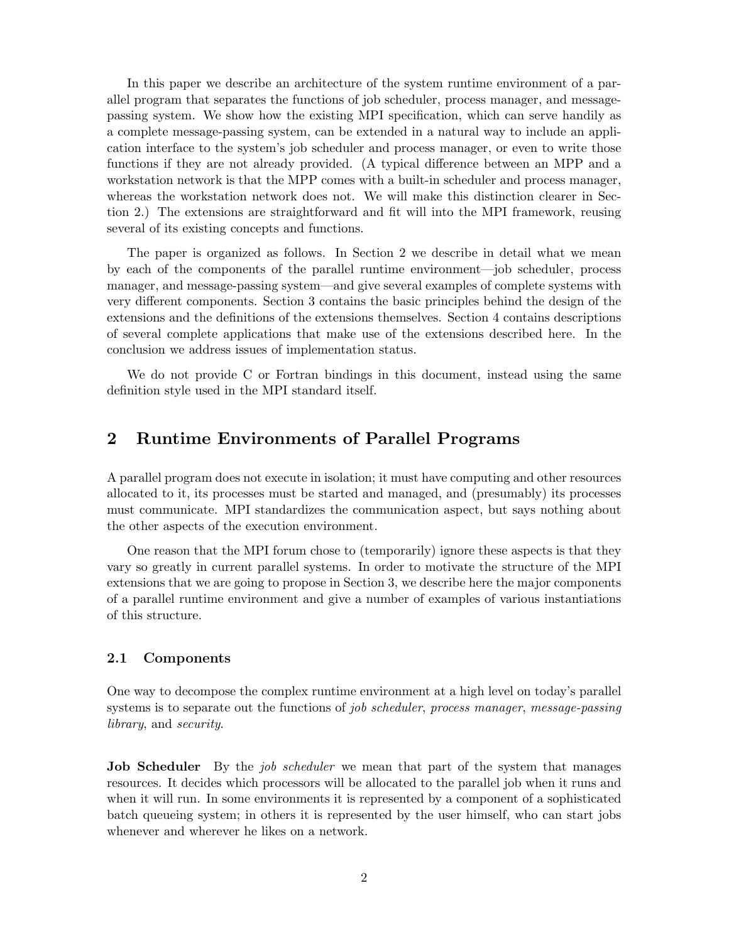In this paper we describe an architecture of the system runtime environment of a parallel program that separates the functions of job scheduler, process manager, and messagepassing system. We show how the existing MPI specification, which can serve handily as a complete message-passing system, can be extended in a natural way to include an application interface to the system's job scheduler and process manager, or even to write those functions if they are not already provided. (A typical difference between an MPP and a workstation network is that the MPP comes with a built-in scheduler and process manager, whereas the workstation network does not. We will make this distinction clearer in Section 2.) The extensions are straightforward and fit will into the MPI framework, reusing several of its existing concepts and functions.

The paper is organized as follows. In Section 2 we describe in detail what we mean by each of the components of the parallel runtime environment—job scheduler, process manager, and message-passing system—and give several examples of complete systems with very different components. Section 3 contains the basic principles behind the design of the extensions and the definitions of the extensions themselves. Section 4 contains descriptions of several complete applications that make use of the extensions described here. In the conclusion we address issues of implementation status.

We do not provide C or Fortran bindings in this document, instead using the same definition style used in the MPI standard itself.

## 2 Runtime Environments of Parallel Programs

A parallel program does not execute in isolation; it must have computing and other resources allocated to it, its processes must be started and managed, and (presumably) its processes must communicate. MPI standardizes the communication aspect, but says nothing about the other aspects of the execution environment.

One reason that the MPI forum chose to (temporarily) ignore these aspects is that they vary so greatly in current parallel systems. In order to motivate the structure of the MPI extensions that we are going to propose in Section 3, we describe here the major components of a parallel runtime environment and give a number of examples of various instantiations of this structure.

#### 2.1 Components

One way to decompose the complex runtime environment at a high level on today's parallel systems is to separate out the functions of *job scheduler, process manager, message-passing* library, and security.

**Job Scheduler** By the *job scheduler* we mean that part of the system that manages resources. It decides which processors will be allocated to the parallel job when it runs and when it will run. In some environments it is represented by a component of a sophisticated batch queueing system; in others it is represented by the user himself, who can start jobs whenever and wherever he likes on a network.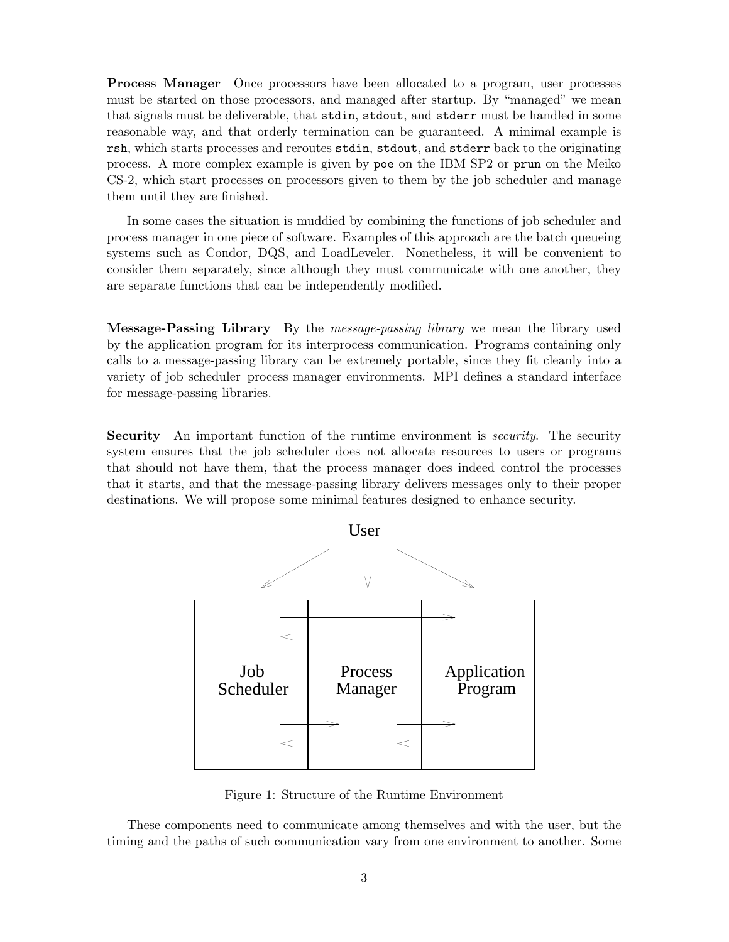Process Manager Once processors have been allocated to a program, user processes must be started on those processors, and managed after startup. By "managed" we mean that signals must be deliverable, that stdin, stdout, and stderr must be handled in some reasonable way, and that orderly termination can be guaranteed. A minimal example is rsh, which starts processes and reroutes stdin, stdout, and stderr back to the originating process. A more complex example is given by poe on the IBM SP2 or prun on the Meiko CS-2, which start processes on processors given to them by the job scheduler and manage them until they are finished.

In some cases the situation is muddied by combining the functions of job scheduler and process manager in one piece of software. Examples of this approach are the batch queueing systems such as Condor, DQS, and LoadLeveler. Nonetheless, it will be convenient to consider them separately, since although they must communicate with one another, they are separate functions that can be independently modified.

**Message-Passing Library** By the *message-passing library* we mean the library used by the application program for its interprocess communication. Programs containing only calls to a message-passing library can be extremely portable, since they fit cleanly into a variety of job scheduler–process manager environments. MPI defines a standard interface for message-passing libraries.

**Security** An important function of the runtime environment is *security*. The security system ensures that the job scheduler does not allocate resources to users or programs that should not have them, that the process manager does indeed control the processes that it starts, and that the message-passing library delivers messages only to their proper destinations. We will propose some minimal features designed to enhance security.



Figure 1: Structure of the Runtime Environment

These components need to communicate among themselves and with the user, but the timing and the paths of such communication vary from one environment to another. Some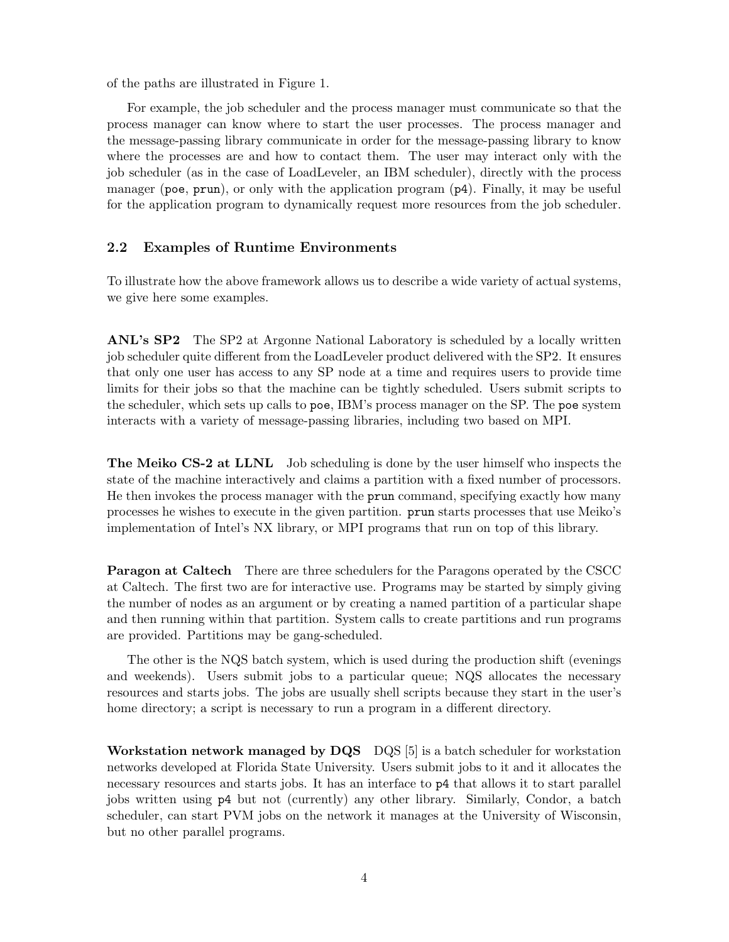of the paths are illustrated in Figure 1.

For example, the job scheduler and the process manager must communicate so that the process manager can know where to start the user processes. The process manager and the message-passing library communicate in order for the message-passing library to know where the processes are and how to contact them. The user may interact only with the job scheduler (as in the case of LoadLeveler, an IBM scheduler), directly with the process manager (poe, prun), or only with the application program (p4). Finally, it may be useful for the application program to dynamically request more resources from the job scheduler.

#### 2.2 Examples of Runtime Environments

To illustrate how the above framework allows us to describe a wide variety of actual systems, we give here some examples.

ANL's SP2 The SP2 at Argonne National Laboratory is scheduled by a locally written job scheduler quite different from the LoadLeveler product delivered with the SP2. It ensures that only one user has access to any SP node at a time and requires users to provide time limits for their jobs so that the machine can be tightly scheduled. Users submit scripts to the scheduler, which sets up calls to poe, IBM's process manager on the SP. The poe system interacts with a variety of message-passing libraries, including two based on MPI.

The Meiko CS-2 at LLNL Job scheduling is done by the user himself who inspects the state of the machine interactively and claims a partition with a fixed number of processors. He then invokes the process manager with the prun command, specifying exactly how many processes he wishes to execute in the given partition. prun starts processes that use Meiko's implementation of Intel's NX library, or MPI programs that run on top of this library.

Paragon at Caltech There are three schedulers for the Paragons operated by the CSCC at Caltech. The first two are for interactive use. Programs may be started by simply giving the number of nodes as an argument or by creating a named partition of a particular shape and then running within that partition. System calls to create partitions and run programs are provided. Partitions may be gang-scheduled.

The other is the NQS batch system, which is used during the production shift (evenings and weekends). Users submit jobs to a particular queue; NQS allocates the necessary resources and starts jobs. The jobs are usually shell scripts because they start in the user's home directory; a script is necessary to run a program in a different directory.

Workstation network managed by  $DQS$   $DQS$  [5] is a batch scheduler for workstation networks developed at Florida State University. Users submit jobs to it and it allocates the necessary resources and starts jobs. It has an interface to  $\not\!P4$  that allows it to start parallel jobs written using p4 but not (currently) any other library. Similarly, Condor, a batch scheduler, can start PVM jobs on the network it manages at the University of Wisconsin, but no other parallel programs.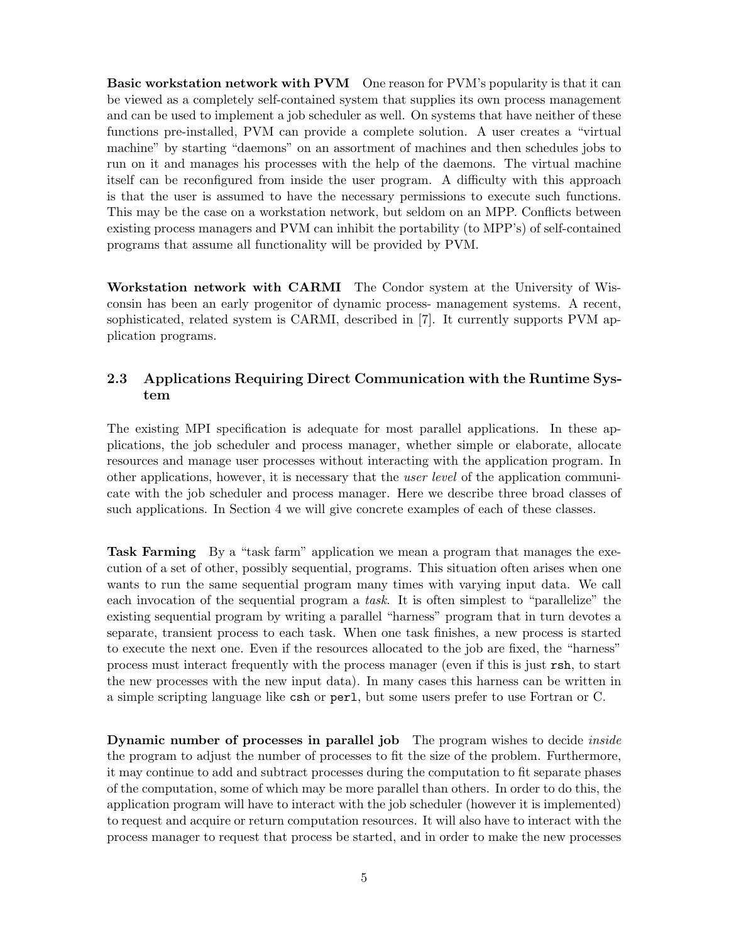Basic workstation network with PVM One reason for PVM's popularity is that it can be viewed as a completely self-contained system that supplies its own process management and can be used to implement a job scheduler as well. On systems that have neither of these functions pre-installed, PVM can provide a complete solution. A user creates a "virtual machine" by starting "daemons" on an assortment of machines and then schedules jobs to run on it and manages his processes with the help of the daemons. The virtual machine itself can be reconfigured from inside the user program. A difficulty with this approach is that the user is assumed to have the necessary permissions to execute such functions. This may be the case on a workstation network, but seldom on an MPP. Conflicts between existing process managers and PVM can inhibit the portability (to MPP's) of self-contained programs that assume all functionality will be provided by PVM.

Workstation network with CARMI The Condor system at the University of Wisconsin has been an early progenitor of dynamic process- management systems. A recent, sophisticated, related system is CARMI, described in [7]. It currently supports PVM application programs.

### 2.3 Applications Requiring Direct Communication with the Runtime System

The existing MPI specification is adequate for most parallel applications. In these applications, the job scheduler and process manager, whether simple or elaborate, allocate resources and manage user processes without interacting with the application program. In other applications, however, it is necessary that the *user level* of the application communicate with the job scheduler and process manager. Here we describe three broad classes of such applications. In Section 4 we will give concrete examples of each of these classes.

Task Farming By a "task farm" application we mean a program that manages the execution of a set of other, possibly sequential, programs. This situation often arises when one wants to run the same sequential program many times with varying input data. We call each invocation of the sequential program a task. It is often simplest to "parallelize" the existing sequential program by writing a parallel "harness" program that in turn devotes a separate, transient process to each task. When one task finishes, a new process is started to execute the next one. Even if the resources allocated to the job are fixed, the "harness" process must interact frequently with the process manager (even if this is just rsh, to start the new processes with the new input data). In many cases this harness can be written in a simple scripting language like csh or perl, but some users prefer to use Fortran or C.

**Dynamic number of processes in parallel job** The program wishes to decide *inside* the program to adjust the number of processes to fit the size of the problem. Furthermore, it may continue to add and subtract processes during the computation to fit separate phases of the computation, some of which may be more parallel than others. In order to do this, the application program will have to interact with the job scheduler (however it is implemented) to request and acquire or return computation resources. It will also have to interact with the process manager to request that process be started, and in order to make the new processes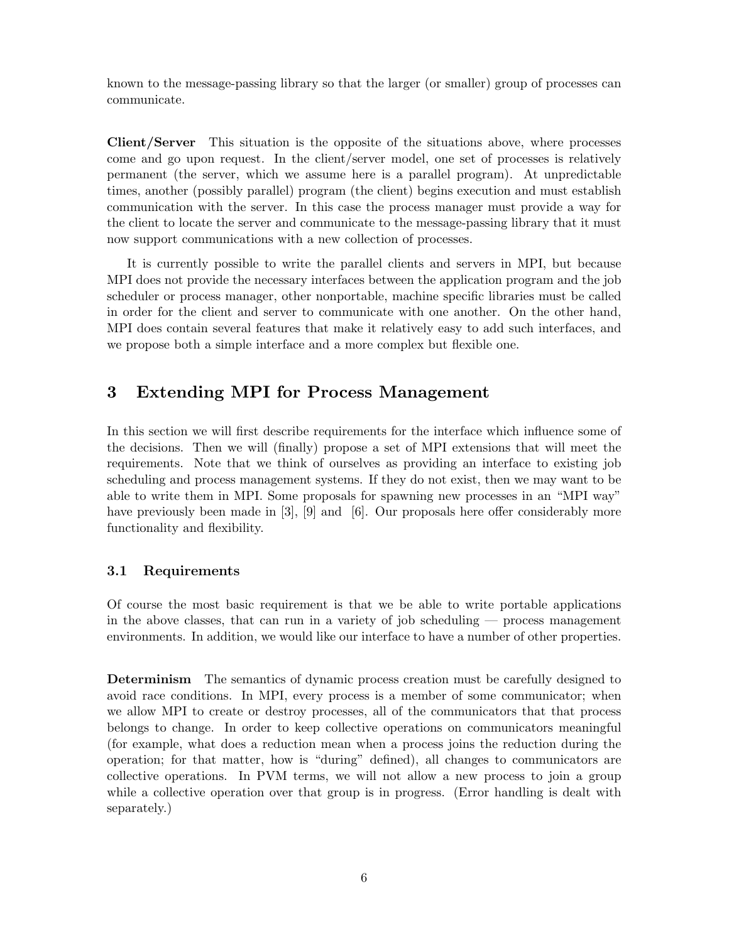known to the message-passing library so that the larger (or smaller) group of processes can communicate.

Client/Server This situation is the opposite of the situations above, where processes come and go upon request. In the client/server model, one set of processes is relatively permanent (the server, which we assume here is a parallel program). At unpredictable times, another (possibly parallel) program (the client) begins execution and must establish communication with the server. In this case the process manager must provide a way for the client to locate the server and communicate to the message-passing library that it must now support communications with a new collection of processes.

It is currently possible to write the parallel clients and servers in MPI, but because MPI does not provide the necessary interfaces between the application program and the job scheduler or process manager, other nonportable, machine specific libraries must be called in order for the client and server to communicate with one another. On the other hand, MPI does contain several features that make it relatively easy to add such interfaces, and we propose both a simple interface and a more complex but flexible one.

## 3 Extending MPI for Process Management

In this section we will first describe requirements for the interface which influence some of the decisions. Then we will (finally) propose a set of MPI extensions that will meet the requirements. Note that we think of ourselves as providing an interface to existing job scheduling and process management systems. If they do not exist, then we may want to be able to write them in MPI. Some proposals for spawning new processes in an "MPI way" have previously been made in [3], [9] and [6]. Our proposals here offer considerably more functionality and flexibility.

#### 3.1 Requirements

Of course the most basic requirement is that we be able to write portable applications in the above classes, that can run in a variety of job scheduling — process management environments. In addition, we would like our interface to have a number of other properties.

Determinism The semantics of dynamic process creation must be carefully designed to avoid race conditions. In MPI, every process is a member of some communicator; when we allow MPI to create or destroy processes, all of the communicators that that process belongs to change. In order to keep collective operations on communicators meaningful (for example, what does a reduction mean when a process joins the reduction during the operation; for that matter, how is "during" defined), all changes to communicators are collective operations. In PVM terms, we will not allow a new process to join a group while a collective operation over that group is in progress. (Error handling is dealt with separately.)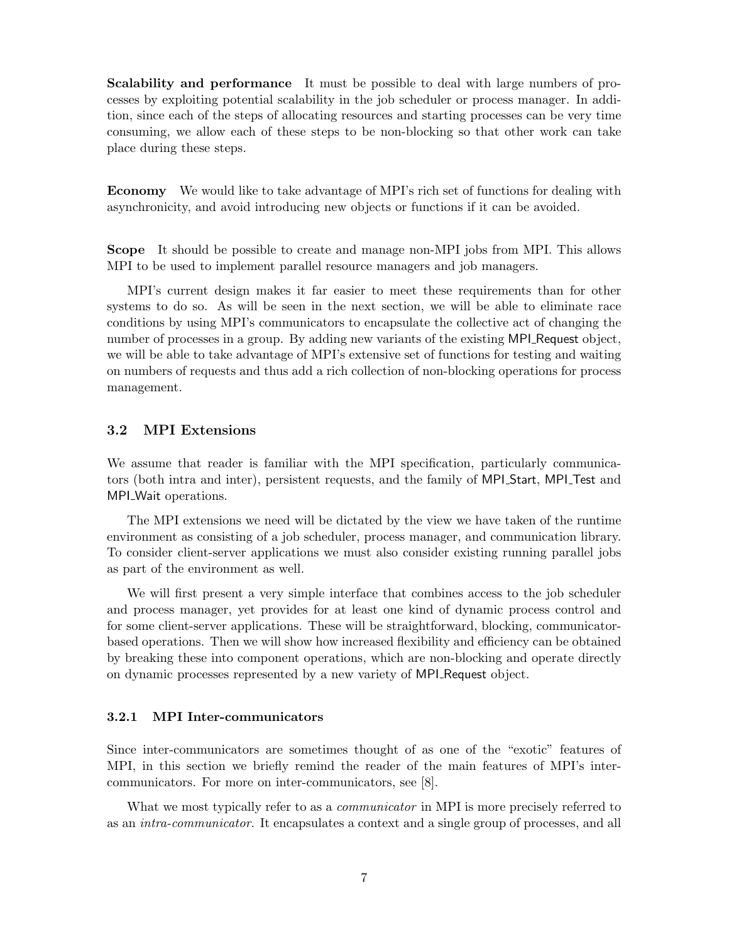Scalability and performance It must be possible to deal with large numbers of processes by exploiting potential scalability in the job scheduler or process manager. In addition, since each of the steps of allocating resources and starting processes can be very time consuming, we allow each of these steps to be non-blocking so that other work can take place during these steps.

Economy We would like to take advantage of MPI's rich set of functions for dealing with asynchronicity, and avoid introducing new objects or functions if it can be avoided.

Scope It should be possible to create and manage non-MPI jobs from MPI. This allows MPI to be used to implement parallel resource managers and job managers.

MPI's current design makes it far easier to meet these requirements than for other systems to do so. As will be seen in the next section, we will be able to eliminate race conditions by using MPI's communicators to encapsulate the collective act of changing the number of processes in a group. By adding new variants of the existing MPI Request object, we will be able to take advantage of MPI's extensive set of functions for testing and waiting on numbers of requests and thus add a rich collection of non-blocking operations for process management.

#### 3.2 MPI Extensions

We assume that reader is familiar with the MPI specification, particularly communicators (both intra and inter), persistent requests, and the family of MPI Start, MPI Test and MPI<sub>-</sub>Wait operations.

The MPI extensions we need will be dictated by the view we have taken of the runtime environment as consisting of a job scheduler, process manager, and communication library. To consider client-server applications we must also consider existing running parallel jobs as part of the environment as well.

We will first present a very simple interface that combines access to the job scheduler and process manager, yet provides for at least one kind of dynamic process control and for some client-server applications. These will be straightforward, blocking, communicatorbased operations. Then we will show how increased flexibility and efficiency can be obtained by breaking these into component operations, which are non-blocking and operate directly on dynamic processes represented by a new variety of MPI Request object.

#### 3.2.1 MPI Inter-communicators

Since inter-communicators are sometimes thought of as one of the "exotic" features of MPI, in this section we briefly remind the reader of the main features of MPI's intercommunicators. For more on inter-communicators, see [8].

What we most typically refer to as a *communicator* in MPI is more precisely referred to as an intra-communicator. It encapsulates a context and a single group of processes, and all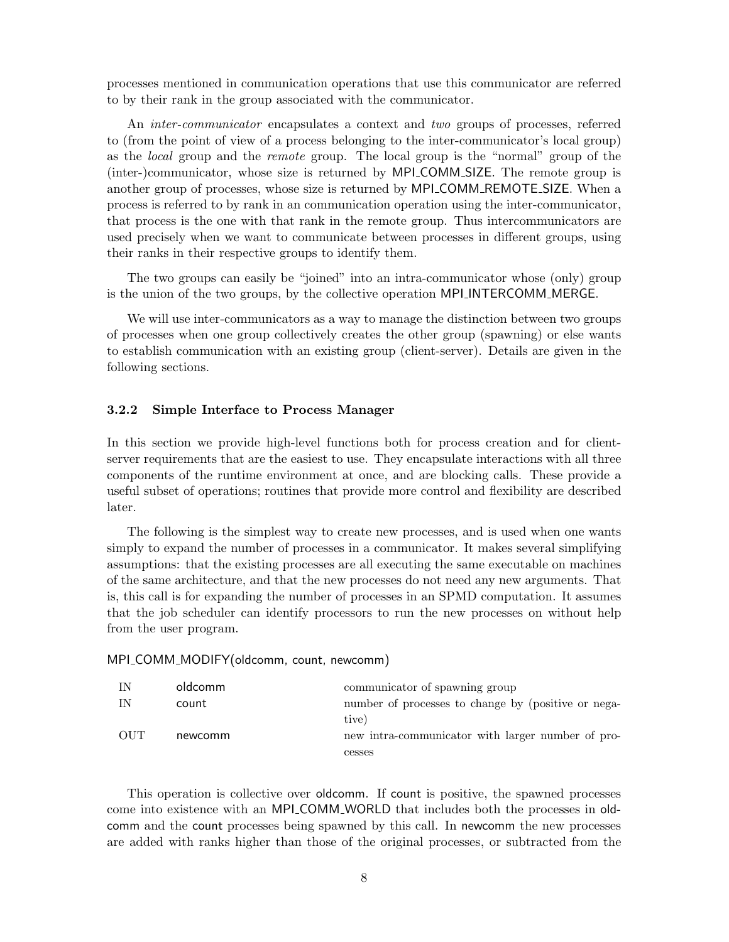processes mentioned in communication operations that use this communicator are referred to by their rank in the group associated with the communicator.

An inter-communicator encapsulates a context and two groups of processes, referred to (from the point of view of a process belonging to the inter-communicator's local group) as the local group and the remote group. The local group is the "normal" group of the (inter-)communicator, whose size is returned by MPI COMM SIZE. The remote group is another group of processes, whose size is returned by MPI\_COMM\_REMOTE\_SIZE. When a process is referred to by rank in an communication operation using the inter-communicator, that process is the one with that rank in the remote group. Thus intercommunicators are used precisely when we want to communicate between processes in different groups, using their ranks in their respective groups to identify them.

The two groups can easily be "joined" into an intra-communicator whose (only) group is the union of the two groups, by the collective operation MPI INTERCOMM MERGE.

We will use inter-communicators as a way to manage the distinction between two groups of processes when one group collectively creates the other group (spawning) or else wants to establish communication with an existing group (client-server). Details are given in the following sections.

#### 3.2.2 Simple Interface to Process Manager

In this section we provide high-level functions both for process creation and for clientserver requirements that are the easiest to use. They encapsulate interactions with all three components of the runtime environment at once, and are blocking calls. These provide a useful subset of operations; routines that provide more control and flexibility are described later.

The following is the simplest way to create new processes, and is used when one wants simply to expand the number of processes in a communicator. It makes several simplifying assumptions: that the existing processes are all executing the same executable on machines of the same architecture, and that the new processes do not need any new arguments. That is, this call is for expanding the number of processes in an SPMD computation. It assumes that the job scheduler can identify processors to run the new processes on without help from the user program.

#### MPI\_COMM\_MODIFY(oldcomm, count, newcomm)

| IN         | oldcomm | communicator of spawning group                      |
|------------|---------|-----------------------------------------------------|
| ΙN         | count   | number of processes to change by (positive or nega- |
|            |         | tive)                                               |
| <b>OUT</b> | newcomm | new intra-communicator with larger number of pro-   |
|            |         | cesses                                              |

This operation is collective over oldcomm. If count is positive, the spawned processes come into existence with an MPI COMM WORLD that includes both the processes in oldcomm and the count processes being spawned by this call. In newcomm the new processes are added with ranks higher than those of the original processes, or subtracted from the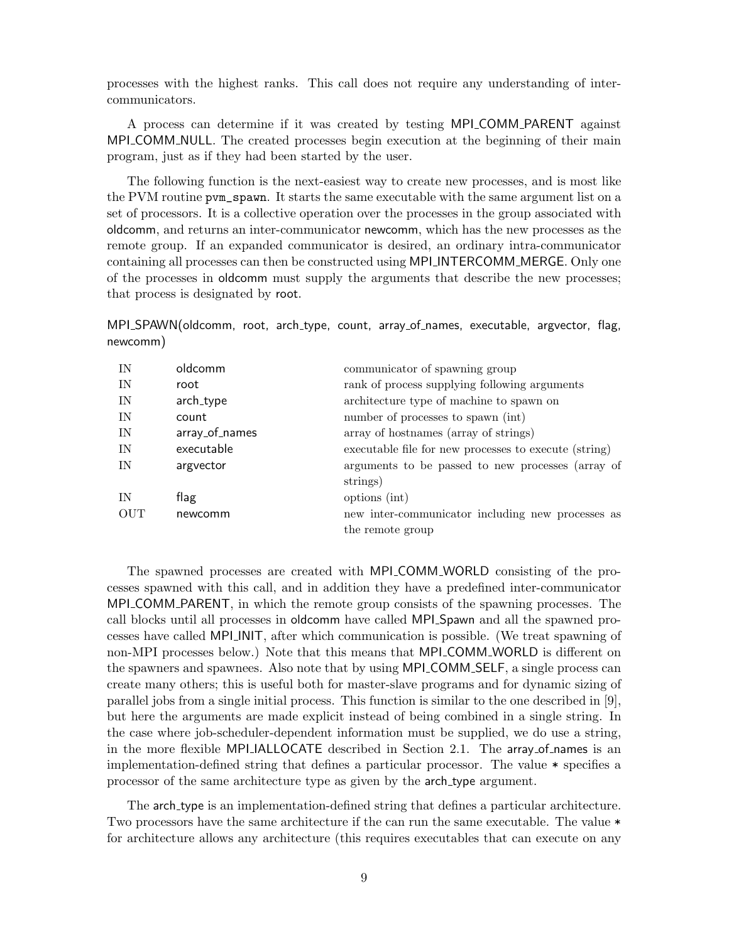processes with the highest ranks. This call does not require any understanding of intercommunicators.

A process can determine if it was created by testing MPI COMM PARENT against MPI COMM NULL. The created processes begin execution at the beginning of their main program, just as if they had been started by the user.

The following function is the next-easiest way to create new processes, and is most like the PVM routine pvm\_spawn. It starts the same executable with the same argument list on a set of processors. It is a collective operation over the processes in the group associated with oldcomm, and returns an inter-communicator newcomm, which has the new processes as the remote group. If an expanded communicator is desired, an ordinary intra-communicator containing all processes can then be constructed using MPI INTERCOMM MERGE. Only one of the processes in oldcomm must supply the arguments that describe the new processes; that process is designated by root.

MPI\_SPAWN(oldcomm, root, arch\_type, count, array\_of\_names, executable, argvector, flag, newcomm)

| IN         | oldcomm        | communicator of spawning group                        |
|------------|----------------|-------------------------------------------------------|
| IN         | root           | rank of process supplying following arguments         |
| IN         | arch_type      | architecture type of machine to spawn on              |
| IN         | count          | number of processes to spawn (int)                    |
| IN         | array_of_names | array of hostnames (array of strings)                 |
| IN         | executable     | executable file for new processes to execute (string) |
| IN         | argvector      | arguments to be passed to new processes (array of     |
|            |                | strings)                                              |
| IN         | flag           | options (int)                                         |
| <b>OUT</b> | newcomm        | new inter-communicator including new processes as     |
|            |                | the remote group                                      |
|            |                |                                                       |

The spawned processes are created with MPI COMM WORLD consisting of the processes spawned with this call, and in addition they have a predefined inter-communicator MPI COMM PARENT, in which the remote group consists of the spawning processes. The call blocks until all processes in oldcomm have called MPI Spawn and all the spawned processes have called MPI INIT, after which communication is possible. (We treat spawning of non-MPI processes below.) Note that this means that MPI COMM WORLD is different on the spawners and spawnees. Also note that by using MPI COMM SELF, a single process can create many others; this is useful both for master-slave programs and for dynamic sizing of parallel jobs from a single initial process. This function is similar to the one described in [9], but here the arguments are made explicit instead of being combined in a single string. In the case where job-scheduler-dependent information must be supplied, we do use a string, in the more flexible MPI IALLOCATE described in Section 2.1. The array of names is an implementation-defined string that defines a particular processor. The value \* specifies a processor of the same architecture type as given by the arch type argument.

The arch type is an implementation-defined string that defines a particular architecture. Two processors have the same architecture if the can run the same executable. The value \* for architecture allows any architecture (this requires executables that can execute on any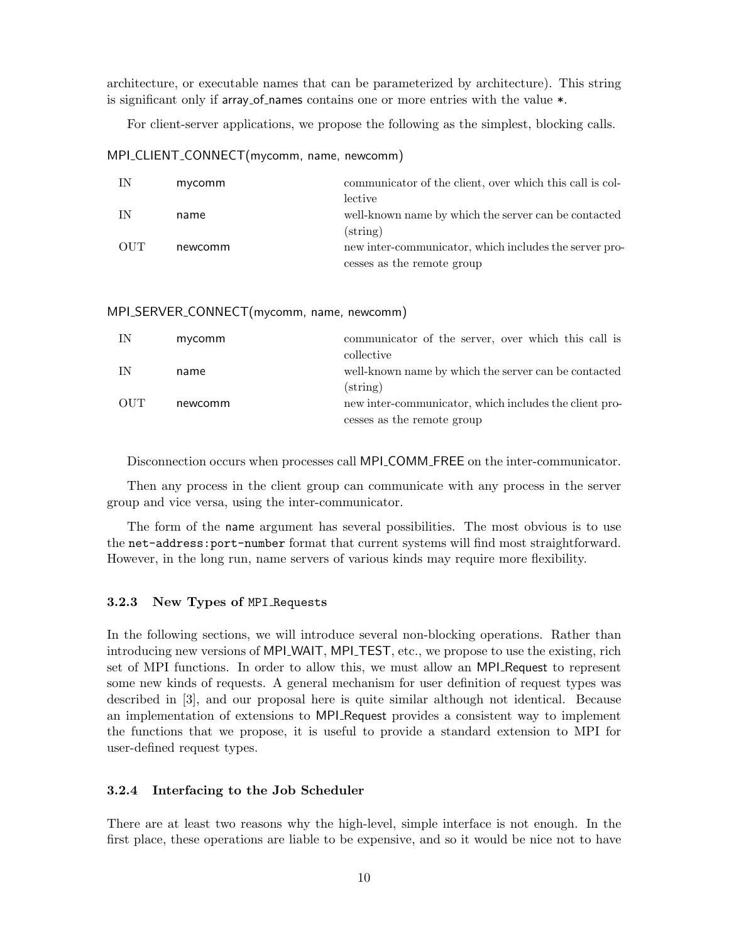architecture, or executable names that can be parameterized by architecture). This string is significant only if array of names contains one or more entries with the value  $*$ .

For client-server applications, we propose the following as the simplest, blocking calls.

MPI\_CLIENT\_CONNECT(mycomm, name, newcomm)

| IN  | mycomm  | communicator of the client, over which this call is col- |
|-----|---------|----------------------------------------------------------|
|     |         | lective                                                  |
| IN  | name    | well-known name by which the server can be contacted     |
|     |         | $\left( \text{string} \right)$                           |
| OUT | newcomm | new inter-communicator, which includes the server pro-   |
|     |         | cesses as the remote group                               |

#### MPI\_SERVER\_CONNECT(mycomm, name, newcomm)

| IN         | mycomm  | communicator of the server, over which this call is    |
|------------|---------|--------------------------------------------------------|
|            |         | collective                                             |
| IN         | name    | well-known name by which the server can be contacted   |
|            |         | $\left( \text{string} \right)$                         |
| <b>OUT</b> | newcomm | new inter-communicator, which includes the client pro- |
|            |         | cesses as the remote group                             |

Disconnection occurs when processes call MPI\_COMM\_FREE on the inter-communicator.

Then any process in the client group can communicate with any process in the server group and vice versa, using the inter-communicator.

The form of the name argument has several possibilities. The most obvious is to use the net-address:port-number format that current systems will find most straightforward. However, in the long run, name servers of various kinds may require more flexibility.

#### 3.2.3 New Types of MPI Requests

In the following sections, we will introduce several non-blocking operations. Rather than introducing new versions of MPI\_WAIT, MPI\_TEST, etc., we propose to use the existing, rich set of MPI functions. In order to allow this, we must allow an MPI Request to represent some new kinds of requests. A general mechanism for user definition of request types was described in [3], and our proposal here is quite similar although not identical. Because an implementation of extensions to MPI Request provides a consistent way to implement the functions that we propose, it is useful to provide a standard extension to MPI for user-defined request types.

#### 3.2.4 Interfacing to the Job Scheduler

There are at least two reasons why the high-level, simple interface is not enough. In the first place, these operations are liable to be expensive, and so it would be nice not to have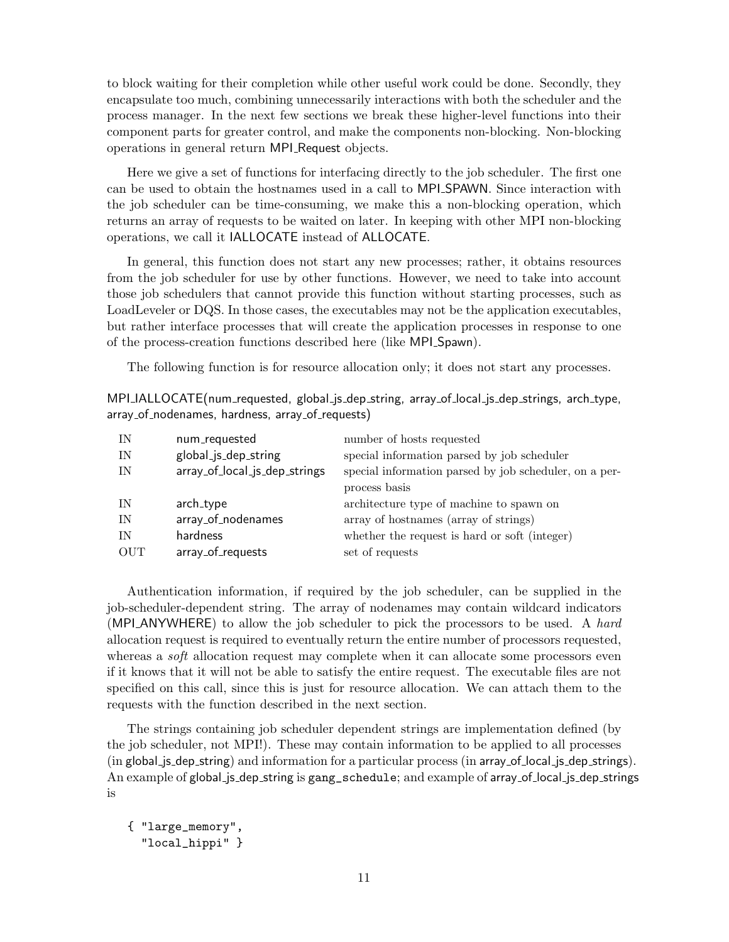to block waiting for their completion while other useful work could be done. Secondly, they encapsulate too much, combining unnecessarily interactions with both the scheduler and the process manager. In the next few sections we break these higher-level functions into their component parts for greater control, and make the components non-blocking. Non-blocking operations in general return MPI Request objects.

Here we give a set of functions for interfacing directly to the job scheduler. The first one can be used to obtain the hostnames used in a call to MPI SPAWN. Since interaction with the job scheduler can be time-consuming, we make this a non-blocking operation, which returns an array of requests to be waited on later. In keeping with other MPI non-blocking operations, we call it IALLOCATE instead of ALLOCATE.

In general, this function does not start any new processes; rather, it obtains resources from the job scheduler for use by other functions. However, we need to take into account those job schedulers that cannot provide this function without starting processes, such as LoadLeveler or DQS. In those cases, the executables may not be the application executables, but rather interface processes that will create the application processes in response to one of the process-creation functions described here (like MPI Spawn).

The following function is for resource allocation only; it does not start any processes.

MPI IALLOCATE(num requested, global js dep string, array of local js dep strings, arch type, array\_of\_nodenames, hardness, array\_of\_requests)

| special information parsed by job scheduler            |
|--------------------------------------------------------|
| special information parsed by job scheduler, on a per- |
|                                                        |
| architecture type of machine to spawn on               |
| array of hostnames (array of strings)                  |
| whether the request is hard or soft (integer)          |
|                                                        |
|                                                        |

Authentication information, if required by the job scheduler, can be supplied in the job-scheduler-dependent string. The array of nodenames may contain wildcard indicators (MPI\_ANYWHERE) to allow the job scheduler to pick the processors to be used. A hard allocation request is required to eventually return the entire number of processors requested, whereas a *soft* allocation request may complete when it can allocate some processors even if it knows that it will not be able to satisfy the entire request. The executable files are not specified on this call, since this is just for resource allocation. We can attach them to the requests with the function described in the next section.

The strings containing job scheduler dependent strings are implementation defined (by the job scheduler, not MPI!). These may contain information to be applied to all processes (in global js dep string) and information for a particular process (in array of local js dep strings). An example of global\_js\_dep\_string is gang\_schedule; and example of array\_of\_local\_js\_dep\_strings is

```
{ "large_memory",
  "local_hippi" }
```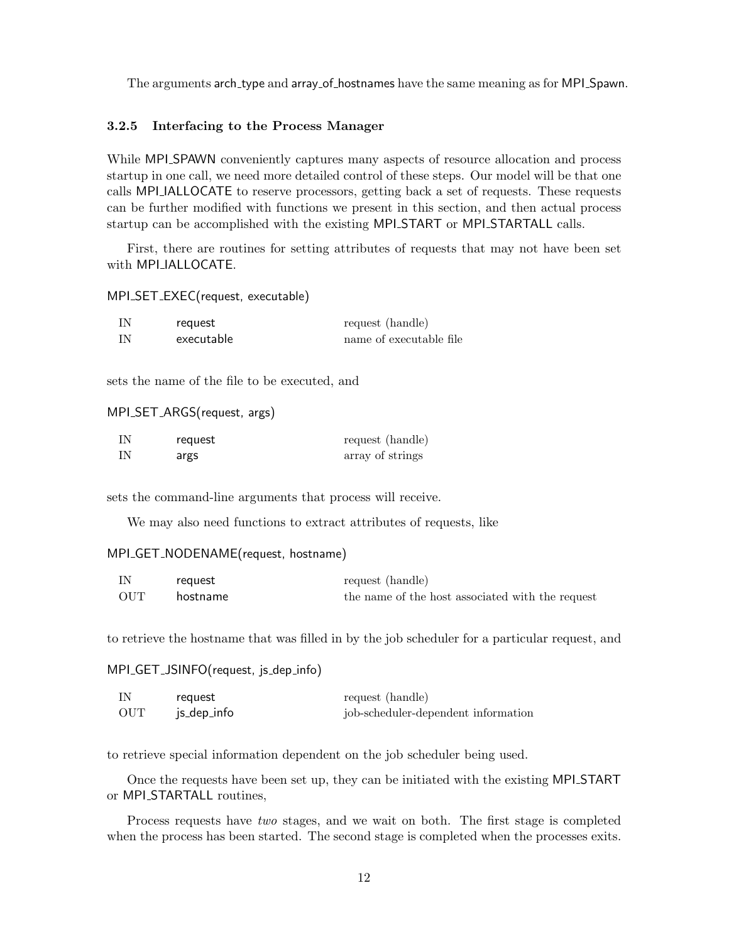The arguments arch type and array of hostnames have the same meaning as for MPI Spawn.

#### 3.2.5 Interfacing to the Process Manager

While MPI SPAWN conveniently captures many aspects of resource allocation and process startup in one call, we need more detailed control of these steps. Our model will be that one calls MPI IALLOCATE to reserve processors, getting back a set of requests. These requests can be further modified with functions we present in this section, and then actual process startup can be accomplished with the existing MPI START or MPI STARTALL calls.

First, there are routines for setting attributes of requests that may not have been set with MPI<sub>-IALLOCATE</sub>.

MPI\_SET\_EXEC(request, executable)

| IN   | request    | request (handle)        |
|------|------------|-------------------------|
| - IN | executable | name of executable file |

sets the name of the file to be executed, and

#### MPI\_SET\_ARGS(request, args)

| IN | request | request (handle) |
|----|---------|------------------|
| IN | args    | array of strings |

sets the command-line arguments that process will receive.

We may also need functions to extract attributes of requests, like

#### MPI\_GET\_NODENAME(request, hostname)

| IN  | request  | request (handle)                                 |
|-----|----------|--------------------------------------------------|
| OUT | hostname | the name of the host associated with the request |

to retrieve the hostname that was filled in by the job scheduler for a particular request, and

#### MPI\_GET\_JSINFO(request, js\_dep\_info)

| IN  | reguest     | request (handle)                    |
|-----|-------------|-------------------------------------|
| OUT | js_dep_info | job-scheduler-dependent information |

to retrieve special information dependent on the job scheduler being used.

Once the requests have been set up, they can be initiated with the existing MPI START or MPI\_STARTALL routines,

Process requests have two stages, and we wait on both. The first stage is completed when the process has been started. The second stage is completed when the processes exits.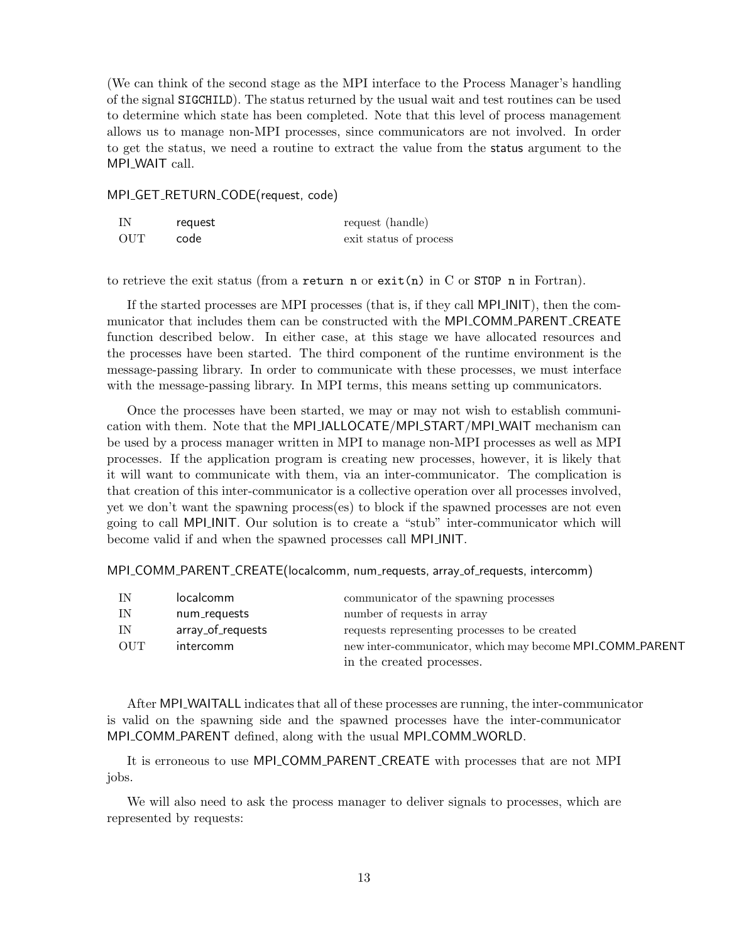(We can think of the second stage as the MPI interface to the Process Manager's handling of the signal SIGCHILD). The status returned by the usual wait and test routines can be used to determine which state has been completed. Note that this level of process management allows us to manage non-MPI processes, since communicators are not involved. In order to get the status, we need a routine to extract the value from the status argument to the MPI<sub>-WAIT call.</sub>

MPI\_GET\_RETURN\_CODE(request, code)

| IN  | request | request (handle)       |
|-----|---------|------------------------|
| OUT | code    | exit status of process |

to retrieve the exit status (from a return n or  $\text{exit}(n)$  in C or STOP n in Fortran).

If the started processes are MPI processes (that is, if they call MPI INIT), then the communicator that includes them can be constructed with the MPI COMM PARENT CREATE function described below. In either case, at this stage we have allocated resources and the processes have been started. The third component of the runtime environment is the message-passing library. In order to communicate with these processes, we must interface with the message-passing library. In MPI terms, this means setting up communicators.

Once the processes have been started, we may or may not wish to establish communication with them. Note that the MPI JALLOCATE/MPI START/MPI WAIT mechanism can be used by a process manager written in MPI to manage non-MPI processes as well as MPI processes. If the application program is creating new processes, however, it is likely that it will want to communicate with them, via an inter-communicator. The complication is that creation of this inter-communicator is a collective operation over all processes involved, yet we don't want the spawning process(es) to block if the spawned processes are not even going to call MPI INIT. Our solution is to create a "stub" inter-communicator which will become valid if and when the spawned processes call MPI INIT.

MPI\_COMM\_PARENT\_CREATE(localcomm, num\_requests, array\_of\_requests, intercomm)

| IN  | localcomm         | communicator of the spawning processes                   |
|-----|-------------------|----------------------------------------------------------|
| IN  | num_requests      | number of requests in array                              |
| IN  | array_of_requests | requests representing processes to be created            |
| OUT | intercomm         | new inter-communicator, which may become MPI_COMM_PARENT |
|     |                   | in the created processes.                                |

After MPI WAITALL indicates that all of these processes are running, the inter-communicator is valid on the spawning side and the spawned processes have the inter-communicator MPI COMM PARENT defined, along with the usual MPI COMM WORLD.

It is erroneous to use MPI\_COMM\_PARENT\_CREATE with processes that are not MPI jobs.

We will also need to ask the process manager to deliver signals to processes, which are represented by requests: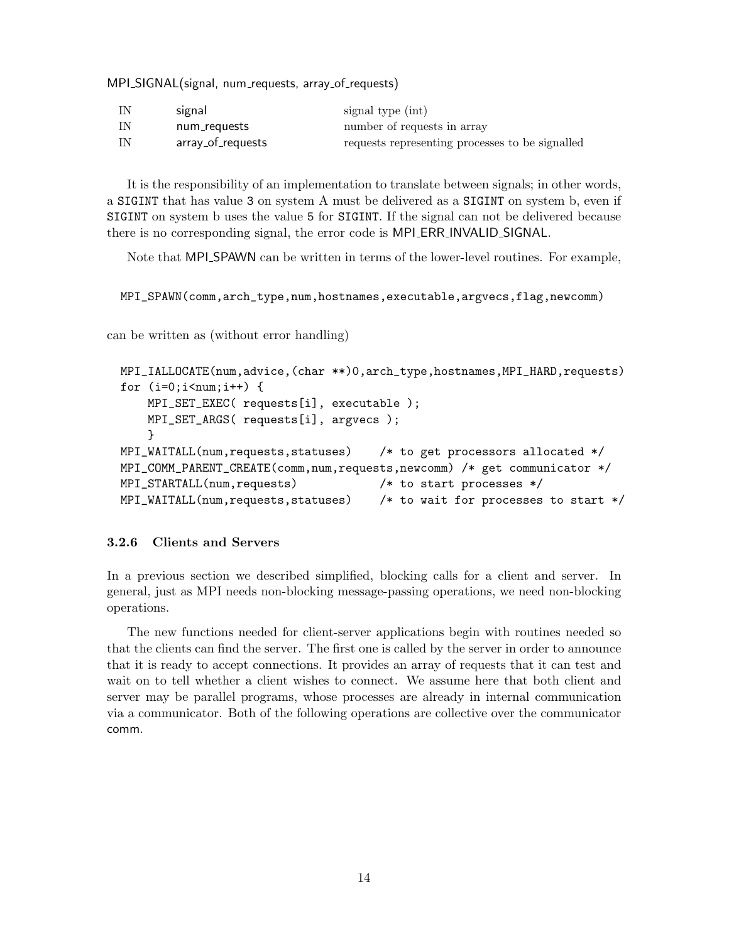MPI\_SIGNAL(signal, num\_requests, array\_of\_requests)

| IN   | signal            | signal type (int)                               |
|------|-------------------|-------------------------------------------------|
| - IN | num_requests      | number of requests in array                     |
| - IN | array_of_requests | requests representing processes to be signalled |

It is the responsibility of an implementation to translate between signals; in other words, a SIGINT that has value 3 on system A must be delivered as a SIGINT on system b, even if SIGINT on system b uses the value 5 for SIGINT. If the signal can not be delivered because there is no corresponding signal, the error code is MPI ERR INVALID SIGNAL.

Note that MPI SPAWN can be written in terms of the lower-level routines. For example,

MPI\_SPAWN(comm,arch\_type,num,hostnames,executable,argvecs,flag,newcomm)

can be written as (without error handling)

```
MPI_IALLOCATE(num,advice,(char **)0,arch_type,hostnames,MPI_HARD,requests)
for (i=0; i \leq num; i++) {
    MPI_SET_EXEC( requests[i], executable );
    MPI_SET_ARGS( requests[i], argvecs );
    }
MPI_WAITALL(num,requests,statuses) /* to get processors allocated */
MPI_COMM_PARENT_CREATE(comm,num,requests,newcomm) /* get communicator */
MPI_STARTALL(num,requests) /* to start processes */
MPI_WAITALL(num,requests,statuses) /* to wait for processes to start */
```
#### 3.2.6 Clients and Servers

In a previous section we described simplified, blocking calls for a client and server. In general, just as MPI needs non-blocking message-passing operations, we need non-blocking operations.

The new functions needed for client-server applications begin with routines needed so that the clients can find the server. The first one is called by the server in order to announce that it is ready to accept connections. It provides an array of requests that it can test and wait on to tell whether a client wishes to connect. We assume here that both client and server may be parallel programs, whose processes are already in internal communication via a communicator. Both of the following operations are collective over the communicator comm.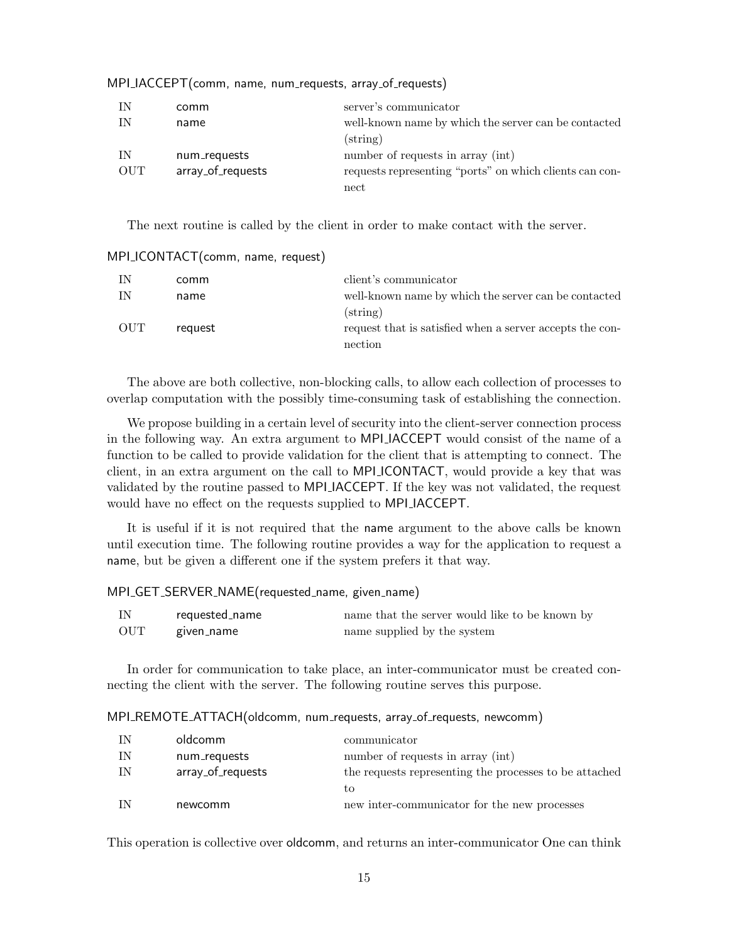| IN         | comm              | server's communicator                                   |
|------------|-------------------|---------------------------------------------------------|
| IN         | name              | well-known name by which the server can be contacted    |
|            |                   | $\left( \text{string} \right)$                          |
| IN         | num_requests      | number of requests in array (int)                       |
| <b>OUT</b> | array_of_requests | requests representing "ports" on which clients can con- |
|            |                   | nect                                                    |

MPI<sub>-</sub>IACCEPT(comm, name, num<sub>-</sub>requests, array<sub>-</sub>of<sub>-</sub>requests)

The next routine is called by the client in order to make contact with the server.

| IN  | comm    | client's communicator                                                                  |
|-----|---------|----------------------------------------------------------------------------------------|
| IN  | name    | well-known name by which the server can be contacted<br>$\left( \text{string} \right)$ |
| OUT | request | request that is satisfied when a server accepts the con-<br>nection                    |

MPI\_ICONTACT(comm, name, request)

The above are both collective, non-blocking calls, to allow each collection of processes to overlap computation with the possibly time-consuming task of establishing the connection.

We propose building in a certain level of security into the client-server connection process in the following way. An extra argument to MPI IACCEPT would consist of the name of a function to be called to provide validation for the client that is attempting to connect. The client, in an extra argument on the call to MPI ICONTACT, would provide a key that was validated by the routine passed to MPI IACCEPT. If the key was not validated, the request would have no effect on the requests supplied to MPI IACCEPT.

It is useful if it is not required that the name argument to the above calls be known until execution time. The following routine provides a way for the application to request a name, but be given a different one if the system prefers it that way.

#### MPI\_GET\_SERVER\_NAME(requested\_name, given\_name)

| IN  | reauested_name | name that the server would like to be known by |
|-----|----------------|------------------------------------------------|
| OUT | given_name     | name supplied by the system                    |

In order for communication to take place, an inter-communicator must be created connecting the client with the server. The following routine serves this purpose.

#### MPI\_REMOTE\_ATTACH(oldcomm, num\_requests, array\_of\_requests, newcomm)

| IN | oldcomm           | communicator                                           |
|----|-------------------|--------------------------------------------------------|
| ΙN | num_requests      | number of requests in array (int)                      |
| IN | array_of_requests | the requests representing the processes to be attached |
|    |                   | ŧΩ                                                     |
|    | newcomm           | new inter-communicator for the new processes           |

This operation is collective over oldcomm, and returns an inter-communicator One can think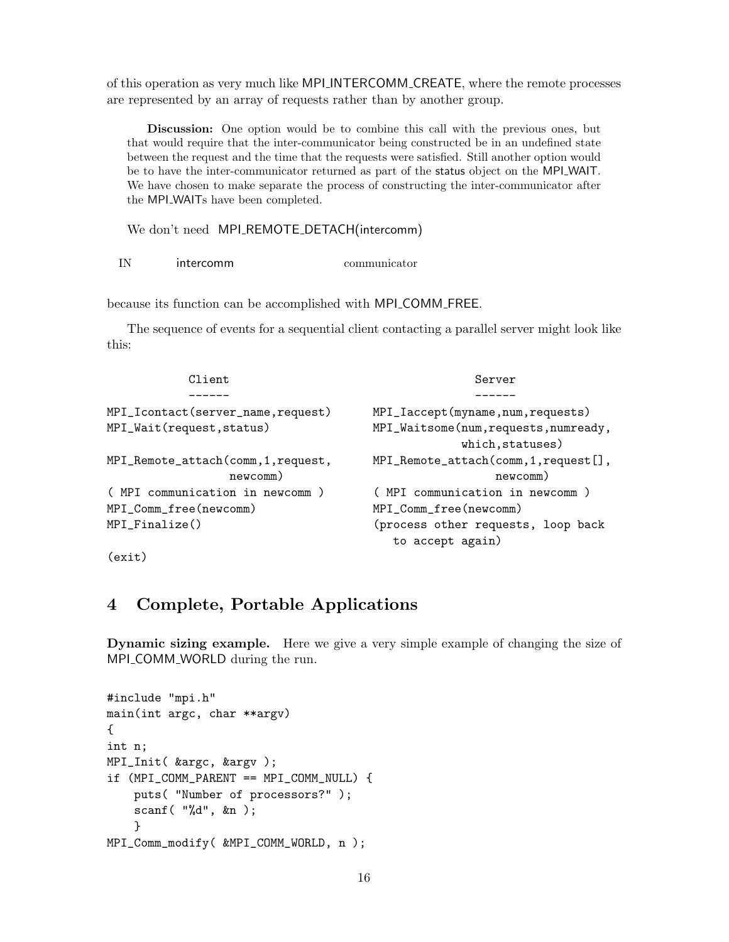of this operation as very much like MPI INTERCOMM CREATE, where the remote processes are represented by an array of requests rather than by another group.

Discussion: One option would be to combine this call with the previous ones, but that would require that the inter-communicator being constructed be in an undefined state between the request and the time that the requests were satisfied. Still another option would be to have the inter-communicator returned as part of the status object on the MPI WAIT. We have chosen to make separate the process of constructing the inter-communicator after the MPI WAITs have been completed.

We don't need MPI\_REMOTE\_DETACH(intercomm)

IN intercomm communicator

because its function can be accomplished with MPI COMM FREE.

The sequence of events for a sequential client contacting a parallel server might look like this:

| Client                              | Server                                |  |
|-------------------------------------|---------------------------------------|--|
|                                     |                                       |  |
| MPI_Icontact(server_name,request)   | MPI_Iaccept(myname,num,requests)      |  |
| MPI_Wait(request, status)           | MPI_Waitsome(num,requests,numready,   |  |
|                                     | which, statuses)                      |  |
| MPI_Remote_attach(comm, 1, request, | MPI_Remote_attach(comm, 1, request[], |  |
| newcomm)                            | newcomm)                              |  |
| ( MPI communication in newcomm )    | ( MPI communication in newcomm )      |  |
| MPI_Comm_free(newcomm)              | MPI_Comm_free(newcomm)                |  |
| $MPI_Finalize()$                    | (process other requests, loop back    |  |
|                                     | to accept again)                      |  |

(exit)

# 4 Complete, Portable Applications

Dynamic sizing example. Here we give a very simple example of changing the size of MPI\_COMM\_WORLD during the run.

```
#include "mpi.h"
main(int argc, char **argv)
{
int n;
MPI_Init( &argc, &argv );
if (MPI_COMM_PARENT == MPI_COMM_NULL) {
    puts( "Number of processors?" );
    scanf( "%d", &n );
    }
MPI_Comm_modify( &MPI_COMM_WORLD, n );
```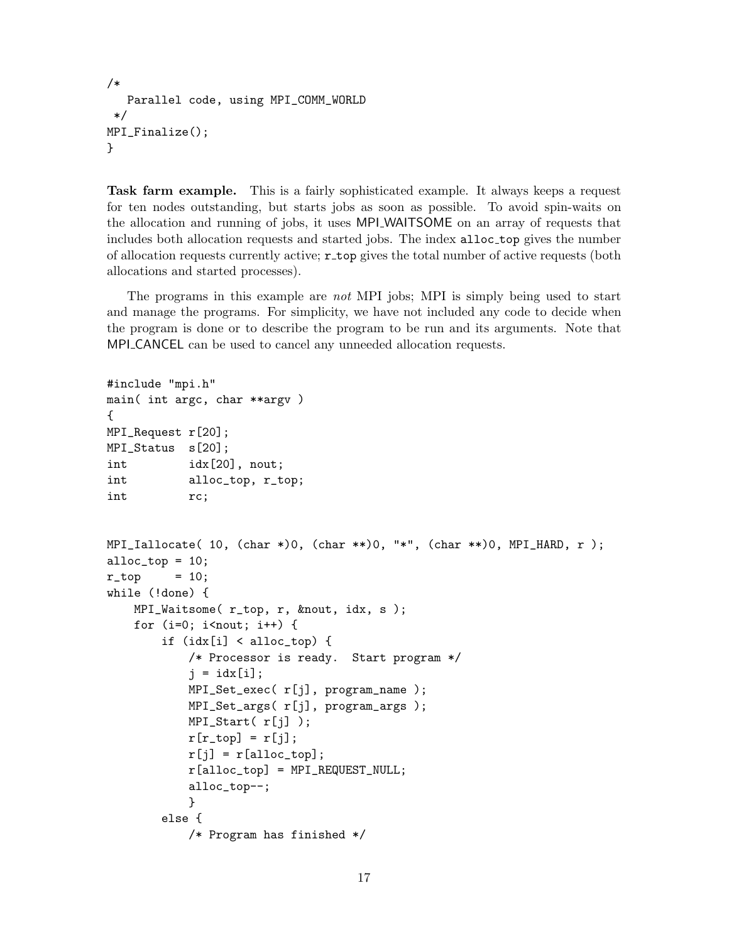```
/*
   Parallel code, using MPI_COMM_WORLD
*/
MPI_Finalize();
}
```
Task farm example. This is a fairly sophisticated example. It always keeps a request for ten nodes outstanding, but starts jobs as soon as possible. To avoid spin-waits on the allocation and running of jobs, it uses MPI WAITSOME on an array of requests that includes both allocation requests and started jobs. The index alloc<sub>top</sub> gives the number of allocation requests currently active; r top gives the total number of active requests (both allocations and started processes).

The programs in this example are not MPI jobs; MPI is simply being used to start and manage the programs. For simplicity, we have not included any code to decide when the program is done or to describe the program to be run and its arguments. Note that MPI\_CANCEL can be used to cancel any unneeded allocation requests.

```
#include "mpi.h"
main( int argc, char **argv )
{
MPI_Request r[20];
MPI_Status s[20];
int idx[20], nout;
int alloc_top, r_top;
int rc;
MPI_1allocate( 10, (char *)0, (char **)0, "*", (char **)0, MPI_HARD, r );
alloc\_top = 10;r_t top = 10;
while (!done) {
    MPI_Waitsome( r_top, r, &nout, idx, s );
    for (i=0; i<sub>not</sub>; i+) {
        if (idx[i] < alloc_to) {
            /* Processor is ready. Start program */
            j = idx[i];MPI_Set_exec( r[j], program_name );
            MPI_Set_args( r[j], program_args );
           MPI_Start( r[j] );
           r[r\_top] = r[j];r[j] = r[alloc_top];
            r[alloc_top] = MPI_REQUEST_NULL;
            alloc_top--;
            }
       else {
            /* Program has finished */
```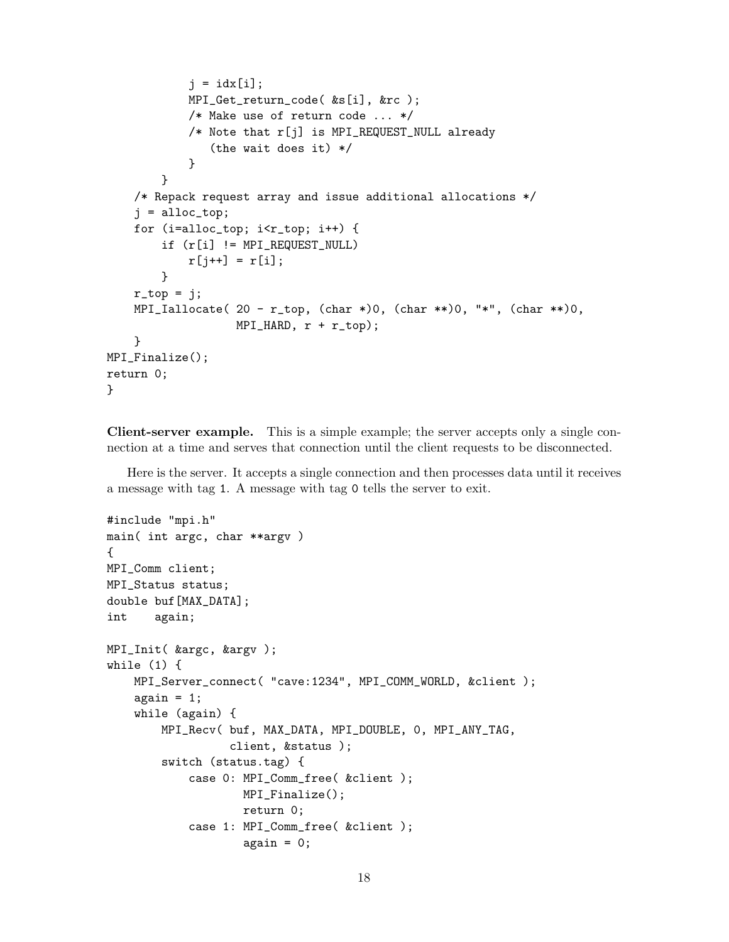```
j = idx[i];MPI_Get_return_code( &s[i], &rc );
            /* Make use of return code ... */
            /* Note that r[j] is MPI_REQUEST_NULL already
               (the wait does it) */
            }
        }
    /* Repack request array and issue additional allocations */
    j =alloc_top;
    for (i=alloc_top; i<r_top; i++) {
        if (r[i] != MPI_REQUEST_NULL)
            r[j^{++}] = r[i];}
    r_ttop = j;
    MPI_1allocate( 20 - r_top, (char *)0, (char **)0, "*", (char **)0,
                   MPI_HARD, r + r_top);}
MPI_Finalize();
return 0;
}
```
Client-server example. This is a simple example; the server accepts only a single connection at a time and serves that connection until the client requests to be disconnected.

Here is the server. It accepts a single connection and then processes data until it receives a message with tag 1. A message with tag 0 tells the server to exit.

```
#include "mpi.h"
main( int argc, char **argv )
{
MPI_Comm client;
MPI_Status status;
double buf[MAX_DATA];
int again;
MPI_Init( &argc, &argv );
while (1) {
    MPI_Server_connect( "cave:1234", MPI_COMM_WORLD, &client );
    again = 1;while (again) {
        MPI_Recv( buf, MAX_DATA, MPI_DOUBLE, 0, MPI_ANY_TAG,
                  client, &status );
        switch (status.tag) {
            case 0: MPI_Comm_free( &client );
                    MPI_Finalize();
                    return 0;
            case 1: MPI_Comm_free( &client );
                    again = 0;
```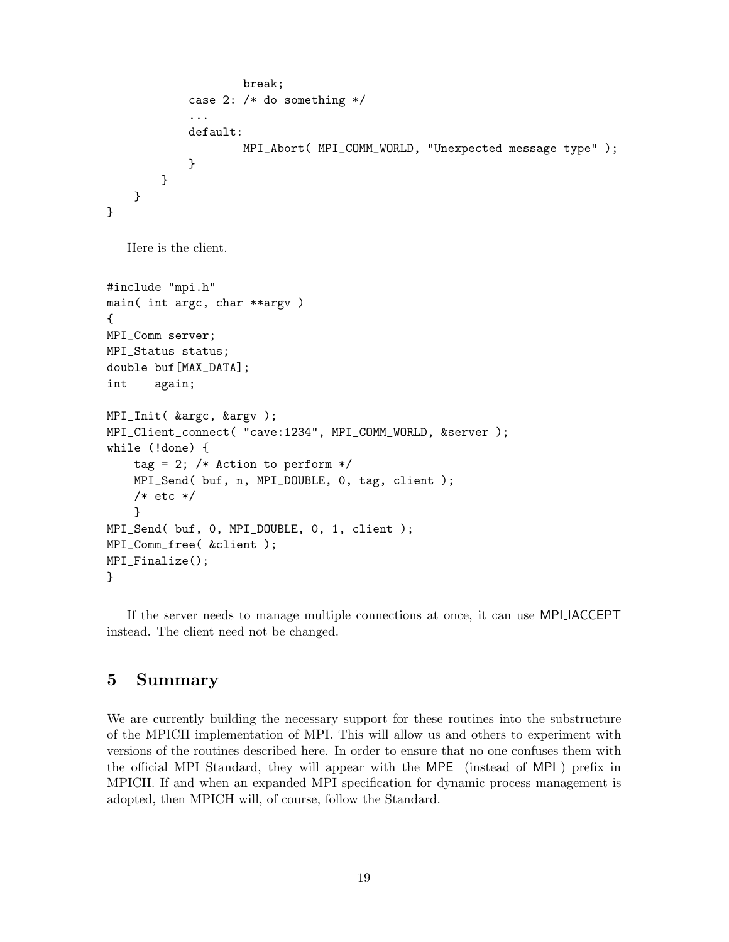```
break;
            case 2: /* do something */
             ...
            default:
                     MPI_Abort( MPI_COMM_WORLD, "Unexpected message type" );
            }
        }
    }
}
```
Here is the client.

```
#include "mpi.h"
main( int argc, char **argv )
{
MPI_Comm server;
MPI_Status status;
double buf[MAX_DATA];
int again;
MPI_Init( &argc, &argv );
MPI_Client_connect( "cave:1234", MPI_COMM_WORLD, &server );
while (!done) {
    tag = 2; /* Action to perform */
    MPI_Send( buf, n, MPI_DOUBLE, 0, tag, client );
    /* etc */}
MPI_Send( buf, 0, MPI_DOUBLE, 0, 1, client );
MPI_Comm_free( &client );
MPI_Finalize();
}
```
If the server needs to manage multiple connections at once, it can use MPI IACCEPT instead. The client need not be changed.

### 5 Summary

We are currently building the necessary support for these routines into the substructure of the MPICH implementation of MPI. This will allow us and others to experiment with versions of the routines described here. In order to ensure that no one confuses them with the official MPI Standard, they will appear with the MPE (instead of MPI) prefix in MPICH. If and when an expanded MPI specification for dynamic process management is adopted, then MPICH will, of course, follow the Standard.